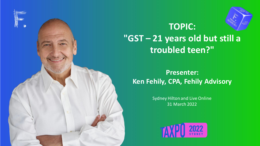



## **TOPIC: "GST – 21 years old but still a troubled teen?"**

#### **Presenter: Ken Fehily, CPA, Fehily Advisory**

Sydney Hilton and Live Online 31 March 2022

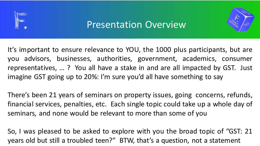

#### Presentation Overview



It's important to ensure relevance to YOU, the 1000 plus participants, but are you advisors, businesses, authorities, government, academics, consumer representatives, … ? You all have a stake in and are all impacted by GST. Just imagine GST going up to 20%: I'm sure you'd all have something to say

There's been 21 years of seminars on property issues, going concerns, refunds, financial services, penalties, etc. Each single topic could take up a whole day of seminars, and none would be relevant to more than some of you

So, I was pleased to be asked to explore with you the broad topic of "GST: 21 years old but still a troubled teen?" BTW, that's a question, not a statement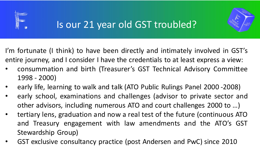



# Is our 21 year old GST troubled?

I'm fortunate (I think) to have been directly and intimately involved in GST's entire journey, and I consider I have the credentials to at least express a view:

- consummation and birth (Treasurer's GST Technical Advisory Committee 1998 - 2000)
- early life, learning to walk and talk (ATO Public Rulings Panel 2000 -2008)
- early school, examinations and challenges (advisor to private sector and other advisors, including numerous ATO and court challenges 2000 to …)
- tertiary lens, graduation and now a real test of the future (continuous ATO and Treasury engagement with law amendments and the ATO's GST Stewardship Group)
- GST exclusive consultancy practice (post Andersen and PwC) since 2010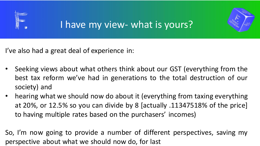



#### I have my view- what is yours?

I've also had a great deal of experience in:

- Seeking views about what others think about our GST (everything from the best tax reform we've had in generations to the total destruction of our society) and
- hearing what we should now do about it (everything from taxing everything at 20%, or 12.5% so you can divide by 8 [actually .11347518% of the price] to having multiple rates based on the purchasers' incomes)

So, I'm now going to provide a number of different perspectives, saving my perspective about what we should now do, for last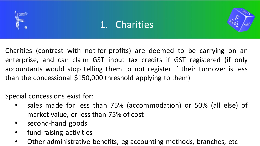

#### 1. Charities



Charities (contrast with not-for-profits) are deemed to be carrying on an enterprise, and can claim GST input tax credits if GST registered (if only accountants would stop telling them to not register if their turnover is less than the concessional \$150,000 threshold applying to them)

Special concessions exist for:

- sales made for less than 75% (accommodation) or 50% (all else) of market value, or less than 75% of cost
- second-hand goods
- fund-raising activities
- Other administrative benefits, eg accounting methods, branches, etc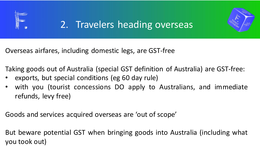





Overseas airfares, including domestic legs, are GST-free

Taking goods out of Australia (special GST definition of Australia) are GST-free:

- exports, but special conditions (eg 60 day rule)
- with you (tourist concessions DO apply to Australians, and immediate refunds, levy free)

Goods and services acquired overseas are 'out of scope'

But beware potential GST when bringing goods into Australia (including what you took out)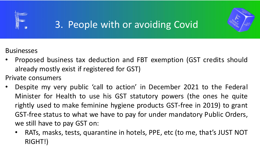

# 3. People with or avoiding Covid

- **Businesses**
- Proposed business tax deduction and FBT exemption (GST credits should already mostly exist if registered for GST)
- Private consumers
- Despite my very public 'call to action' in December 2021 to the Federal Minister for Health to use his GST statutory powers (the ones he quite rightly used to make feminine hygiene products GST-free in 2019) to grant GST-free status to what we have to pay for under mandatory Public Orders, we still have to pay GST on:
	- RATs, masks, tests, quarantine in hotels, PPE, etc (to me, that's JUST NOT RIGHT!)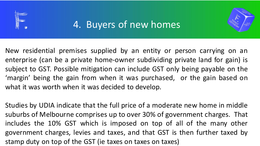

#### 4. Buyers of new homes



New residential premises supplied by an entity or person carrying on an enterprise (can be a private home-owner subdividing private land for gain) is subject to GST. Possible mitigation can include GST only being payable on the 'margin' being the gain from when it was purchased, or the gain based on what it was worth when it was decided to develop.

Studies by UDIA indicate that the full price of a moderate new home in middle suburbs of Melbourne comprises up to over 30% of government charges. That includes the 10% GST which is imposed on top of all of the many other government charges, levies and taxes, and that GST is then further taxed by stamp duty on top of the GST (ie taxes on taxes on taxes)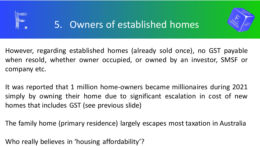





However, regarding established homes (already sold once), no GST payable when resold, whether owner occupied, or owned by an investor, SMSF or company etc.

It was reported that 1 million home-owners became millionaires during 2021 simply by owning their home due to significant escalation in cost of new homes that includes GST (see previous slide)

The family home (primary residence) largely escapes most taxation in Australia

Who really believes in 'housing affordability'?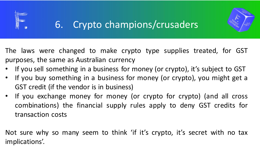





- If you sell something in a business for money (or crypto), it's subject to GST
- If you buy something in a business for money (or crypto), you might get a GST credit (if the vendor is in business)
- If you exchange money for money (or crypto for crypto) (and all cross combinations) the financial supply rules apply to deny GST credits for transaction costs

Not sure why so many seem to think 'if it's crypto, it's secret with no tax implications'.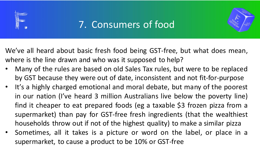

#### 7. Consumers of food



We've all heard about basic fresh food being GST-free, but what does mean, where is the line drawn and who was it supposed to help?

- Many of the rules are based on old Sales Tax rules, but were to be replaced by GST because they were out of date, inconsistent and not fit-for-purpose
- It's a highly charged emotional and moral debate, but many of the poorest in our nation (I've heard 3 million Australians live below the poverty line) find it cheaper to eat prepared foods (eg a taxable \$3 frozen pizza from a supermarket) than pay for GST-free fresh ingredients (that the wealthiest households throw out if not of the highest quality) to make a similar pizza
- Sometimes, all it takes is a picture or word on the label, or place in a supermarket, to cause a product to be 10% or GST-free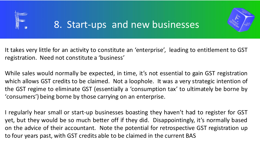



### 8. Start-ups and new businesses

It takes very little for an activity to constitute an 'enterprise', leading to entitlement to GST registration. Need not constitute a 'business'

While sales would normally be expected, in time, it's not essential to gain GST registration which allows GST credits to be claimed. Not a loophole. It was a very strategic intention of the GST regime to eliminate GST (essentially a 'consumption tax' to ultimately be borne by 'consumers') being borne by those carrying on an enterprise.

I regularly hear small or start-up businesses boasting they haven't had to register for GST yet, but they would be so much better off if they did. Disappointingly, it's normally based on the advice of their accountant. Note the potential for retrospective GST registration up to four years past, with GST credits able to be claimed in the current BAS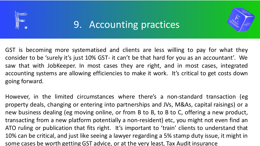

## 9. Accounting practices



GST is becoming more systematised and clients are less willing to pay for what they consider to be 'surely it's just 10% GST- it can't be that hard for you as an accountant'. We saw that with JobKeeper. In most cases they are right, and in most cases, integrated accounting systems are allowing efficiencies to make it work. It's critical to get costs down going forward.

However, in the limited circumstances where there's a non-standard transaction (eg property deals, changing or entering into partnerships and JVs, M&As, capital raisings) or a new business dealing (eg moving online, or from B to B, to B to C, offering a new product, transacting from a new platform potentially a non-resident) etc, you might not even find an ATO ruling or publication that fits right. It's important to 'train' clients to understand that 10% can be critical, and just like seeing a lawyer regarding a 5% stamp duty issue, it might in some cases be worth getting GST advice, or at the very least, Tax Audit insurance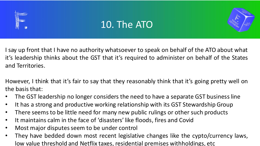

#### 10. The ATO



I say up front that I have no authority whatsoever to speak on behalf of the ATO about what it's leadership thinks about the GST that it's required to administer on behalf of the States and Territories.

However, I think that it's fair to say that they reasonably think that it's going pretty well on the basis that:

- The GST leadership no longer considers the need to have a separate GST business line
- It has a strong and productive working relationship with its GST Stewardship Group
- There seems to be little need for many new public rulings or other such products
- It maintains calm in the face of 'disasters' like floods, fires and Covid
- Most major disputes seem to be under control
- They have bedded down most recent legislative changes like the cypto/currency laws, low value threshold and Netflix taxes, residential premises withholdings, etc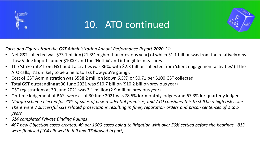

#### 10. ATO continued



*Facts and Figures from the GST Administration Annual Performance Report 2020-21:* 

- Net GST collected was \$73.1 billion (21.3% higher than previous year) of which \$1.1 billion was from the relatively new 'Low Value Imports under \$1000' and the 'Netflix' and intangibles measures
- The 'strike rate' from GST audit activities was 86%, with \$2.3 billion collected from 'client engagement activities' (if the ATO calls, it's unlikely to be a hello to ask how you're going).
- Cost of GST Administration was \$538.2 million (down 6.5%) or \$0.71 per \$100 GST collected.
- Total GST outstanding at 30 June 2021 was \$10.7 billion (\$10.2 billion previous year)
- GST registrations at 30 June 2021 was 3.1 million (2.9 million previous year)
- On-time lodgement of BASs were as at 30 June 2021 was 78.5% for monthly lodgers and 67.3% for quarterly lodgers
- *Margin scheme elected for 70% of sales of new residential premises, and ATO considers this to still be a high risk issue*
- *There were 7 successful GST related prosecutions resulting in fines, reparation orders and prison sentences of 2 to 5 years*
- *614 completed Private Binding Rulings*
- *407 new Objection cases created, 49 per 1000 cases going to litigation with over 50% settled before the hearings. 813 were finalised (104 allowed in full and 97allowed in part)*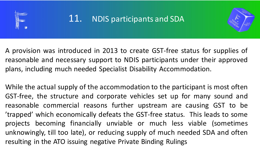

#### 11. NDIS participants and SDA



A provision was introduced in 2013 to create GST-free status for supplies of reasonable and necessary support to NDIS participants under their approved plans, including much needed Specialist Disability Accommodation.

While the actual supply of the accommodation to the participant is most often GST-free, the structure and corporate vehicles set up for many sound and reasonable commercial reasons further upstream are causing GST to be 'trapped' which economically defeats the GST-free status. This leads to some projects becoming financially unviable or much less viable (sometimes unknowingly, till too late), or reducing supply of much needed SDA and often resulting in the ATO issuing negative Private Binding Rulings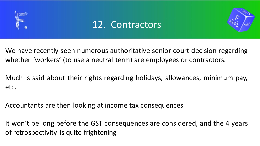

#### 12. Contractors



We have recently seen numerous authoritative senior court decision regarding whether 'workers' (to use a neutral term) are employees or contractors.

Much is said about their rights regarding holidays, allowances, minimum pay, etc.

Accountants are then looking at income tax consequences

It won't be long before the GST consequences are considered, and the 4 years of retrospectivity is quite frightening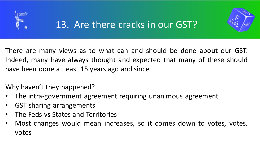



#### 13. Are there cracks in our GST?

There are many views as to what can and should be done about our GST. Indeed, many have always thought and expected that many of these should have been done at least 15 years ago and since.

#### Why haven't they happened?

- The intra-government agreement requiring unanimous agreement
- GST sharing arrangements
- The Feds vs States and Territories
- Most changes would mean increases, so it comes down to votes, votes, votes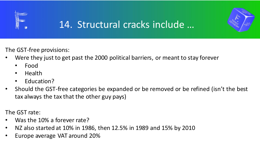



## 14. Structural cracks include …

The GST-free provisions:

- Were they just to get past the 2000 political barriers, or meant to stay forever
	- Food
	- Health
	- Education?
- Should the GST-free categories be expanded or be removed or be refined (isn't the best tax always the tax that the other guy pays)

The GST rate:

- Was the 10% a forever rate?
- NZ also started at 10% in 1986, then 12.5% in 1989 and 15% by 2010
- Europe average VAT around 20%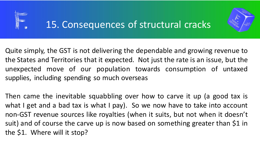

# 15. Consequences of structural cracks



Quite simply, the GST is not delivering the dependable and growing revenue to the States and Territories that it expected. Not just the rate is an issue, but the unexpected move of our population towards consumption of untaxed supplies, including spending so much overseas

Then came the inevitable squabbling over how to carve it up (a good tax is what I get and a bad tax is what I pay). So we now have to take into account non-GST revenue sources like royalties (when it suits, but not when it doesn't suit) and of course the carve up is now based on something greater than \$1 in the \$1. Where will it stop?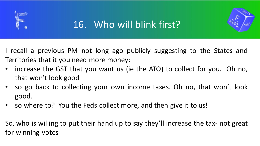



# 16. Who will blink first?

I recall a previous PM not long ago publicly suggesting to the States and Territories that it you need more money:

- increase the GST that you want us (ie the ATO) to collect for you. Oh no, that won't look good
- so go back to collecting your own income taxes. Oh no, that won't look good.
- so where to? You the Feds collect more, and then give it to us!

So, who is willing to put their hand up to say they'll increase the tax- not great for winning votes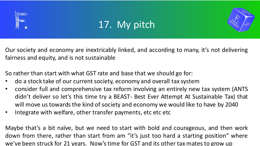

### 17. My pitch



Our society and economy are inextricably linked, and according to many, it's not delivering fairness and equity, and is not sustainable

So rather than start with what GST rate and base that we should go for:

- do a stock take of our current society, economy and overall tax system
- consider full and comprehensive tax reform involving an entirely new tax system (ANTS didn't deliver so let's this time try a BEAST- Best Ever Attempt At Sustainable Tax) that will move us towards the kind of society and economy we would like to have by 2040
- Integrate with welfare, other transfer payments, etc etc etc

Maybe that's a bit naïve, but we need to start with bold and courageous, and then work down from there, rather than start from am "it's just too hard a starting position" where we've been struck for 21 years. Now's time for GST and its other tax mates to grow up